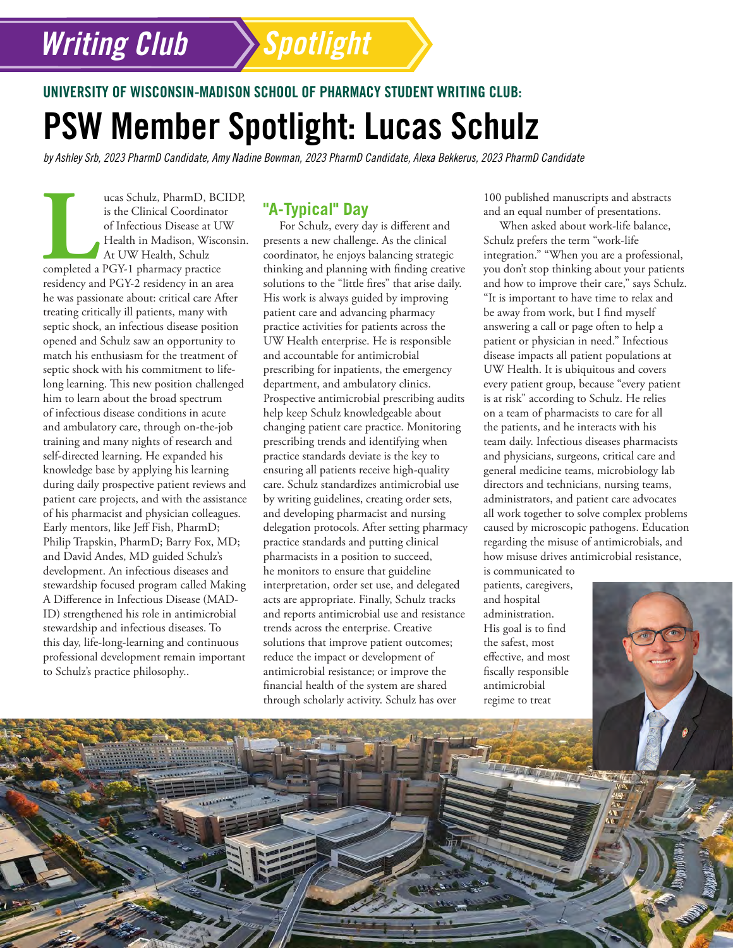# *Writing Club Spotlight*

# UNIVERSITY OF WISCONSIN-MADISON SCHOOL OF PHARMACY STUDENT WRITING CLUB: PSW Member Spotlight: Lucas Schulz

*by Ashley Srb, 2023 PharmD Candidate, Amy Nadine Bowman, 2023 PharmD Candidate, Alexa Bekkerus, 2023 PharmD Candidate*

ucas Schulz, PharmD, BCIDP,<br>
is the Clinical Coordinator<br>
of Infectious Disease at UW<br>
Health in Madison, Wisconsin.<br>
At UW Health, Schulz<br>
completed a PGY-1 pharmacy practice is the Clinical Coordinator of Infectious Disease at UW Health in Madison, Wisconsin. At UW Health, Schulz residency and PGY-2 residency in an area he was passionate about: critical care After treating critically ill patients, many with septic shock, an infectious disease position opened and Schulz saw an opportunity to match his enthusiasm for the treatment of septic shock with his commitment to lifelong learning. This new position challenged him to learn about the broad spectrum of infectious disease conditions in acute and ambulatory care, through on-the-job training and many nights of research and self-directed learning. He expanded his knowledge base by applying his learning during daily prospective patient reviews and patient care projects, and with the assistance of his pharmacist and physician colleagues. Early mentors, like Jeff Fish, PharmD; Philip Trapskin, PharmD; Barry Fox, MD; and David Andes, MD guided Schulz's development. An infectious diseases and stewardship focused program called Making A Difference in Infectious Disease (MAD-ID) strengthened his role in antimicrobial stewardship and infectious diseases. To this day, life-long-learning and continuous professional development remain important to Schulz's practice philosophy..

## **"A-Typical" Day**

For Schulz, every day is different and presents a new challenge. As the clinical coordinator, he enjoys balancing strategic thinking and planning with finding creative solutions to the "little fires" that arise daily. His work is always guided by improving patient care and advancing pharmacy practice activities for patients across the UW Health enterprise. He is responsible and accountable for antimicrobial prescribing for inpatients, the emergency department, and ambulatory clinics. Prospective antimicrobial prescribing audits help keep Schulz knowledgeable about changing patient care practice. Monitoring prescribing trends and identifying when practice standards deviate is the key to ensuring all patients receive high-quality care. Schulz standardizes antimicrobial use by writing guidelines, creating order sets, and developing pharmacist and nursing delegation protocols. After setting pharmacy practice standards and putting clinical pharmacists in a position to succeed, he monitors to ensure that guideline interpretation, order set use, and delegated acts are appropriate. Finally, Schulz tracks and reports antimicrobial use and resistance trends across the enterprise. Creative solutions that improve patient outcomes; reduce the impact or development of antimicrobial resistance; or improve the financial health of the system are shared through scholarly activity. Schulz has over

100 published manuscripts and abstracts and an equal number of presentations.

When asked about work-life balance, Schulz prefers the term "work-life integration." "When you are a professional, you don't stop thinking about your patients and how to improve their care," says Schulz. "It is important to have time to relax and be away from work, but I find myself answering a call or page often to help a patient or physician in need." Infectious disease impacts all patient populations at UW Health. It is ubiquitous and covers every patient group, because "every patient is at risk" according to Schulz. He relies on a team of pharmacists to care for all the patients, and he interacts with his team daily. Infectious diseases pharmacists and physicians, surgeons, critical care and general medicine teams, microbiology lab directors and technicians, nursing teams, administrators, and patient care advocates all work together to solve complex problems caused by microscopic pathogens. Education regarding the misuse of antimicrobials, and how misuse drives antimicrobial resistance,

is communicated to patients, caregivers, and hospital administration. His goal is to find the safest, most effective, and most fiscally responsible antimicrobial regime to treat

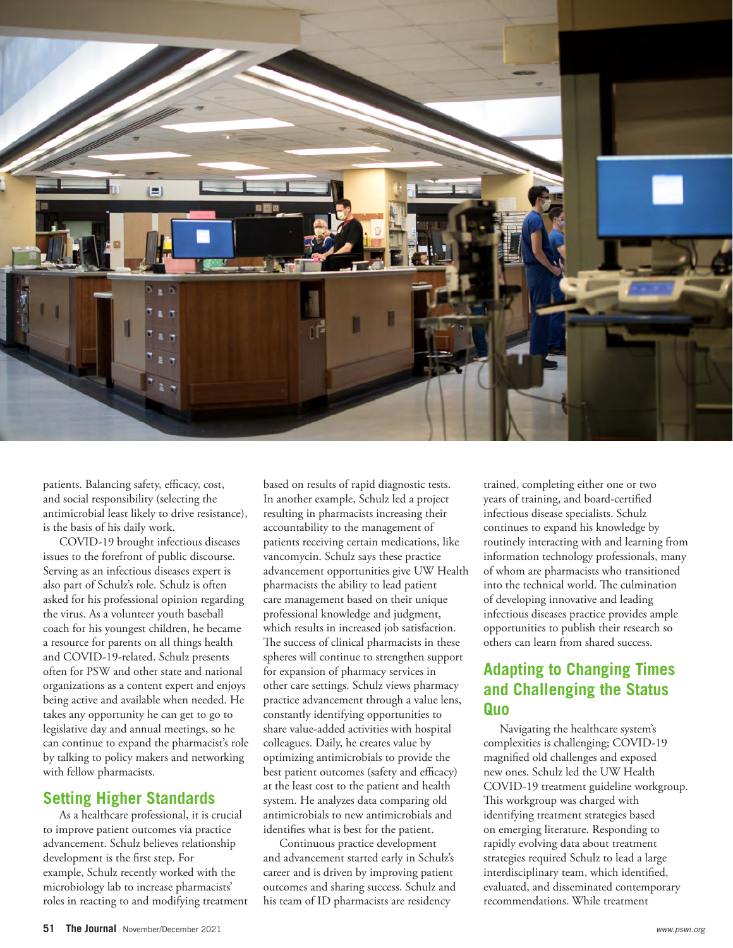

patients. Balancing safety, efficacy, cost, and social responsibility (selecting the antimicrobial least likely to drive resistance), is the basis of his daily work.

COVID-19 brought infectious diseases issues to the forefront of public discourse. Serving as an infectious diseases expert is also part of Schulz's role. Schulz is often asked for his professional opinion regarding the virus. As a volunteer youth baseball coach for his youngest children, he became a resource for parents on all things health and COVID-19-related. Schulz presents often for PSW and other state and national organizations as a content expert and enjoys being active and available when needed. He takes any opportunity he can get to go to legislative day and annual meetings, so he can continue to expand the pharmacist's role by talking to policy makers and networking with fellow pharmacists.

#### **Setting Higher Standards**

As a healthcare professional, it is crucial to improve patient outcomes via practice advancement. Schulz believes relationship development is the first step. For example, Schulz recently worked with the microbiology lab to increase pharmacists' roles in reacting to and modifying treatment

based on results of rapid diagnostic tests. In another example, Schulz led a project resulting in pharmacists increasing their accountability to the management of patients receiving certain medications, like vancomycin. Schulz says these practice advancement opportunities give UW Health pharmacists the ability to lead patient care management based on their unique professional knowledge and judgment, which results in increased job satisfaction. The success of clinical pharmacists in these spheres will continue to strengthen support for expansion of pharmacy services in other care settings. Schulz views pharmacy practice advancement through a value lens, constantly identifying opportunities to share value-added activities with hospital colleagues. Daily, he creates value by optimizing antimicrobials to provide the best patient outcomes (safety and efficacy) at the least cost to the patient and health system. He analyzes data comparing old antimicrobials to new antimicrobials and identifies what is best for the patient.

Continuous practice development and advancement started early in Schulz's career and is driven by improving patient outcomes and sharing success. Schulz and his team of ID pharmacists are residency

trained, completing either one or two years of training, and board-certified infectious disease specialists. Schulz continues to expand his knowledge by routinely interacting with and learning from information technology professionals, many of whom are pharmacists who transitioned into the technical world. The culmination of developing innovative and leading infectious diseases practice provides ample opportunities to publish their research so others can learn from shared success.

## **Adapting to Changing Times and Challenging the Status Quo**

Navigating the healthcare system's complexities is challenging; COVID-19 magnified old challenges and exposed new ones. Schulz led the UW Health COVID-19 treatment guideline workgroup. This workgroup was charged with identifying treatment strategies based on emerging literature. Responding to rapidly evolving data about treatment strategies required Schulz to lead a large interdisciplinary team, which identified, evaluated, and disseminated contemporary recommendations. While treatment